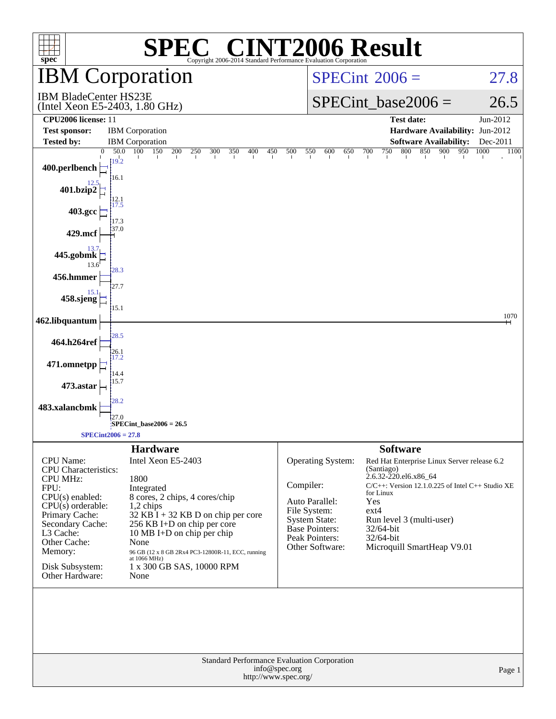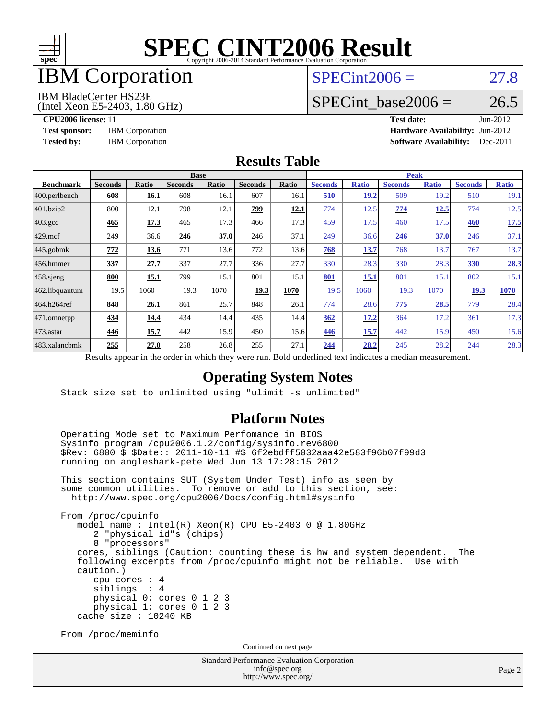

## IBM Corporation

#### $SPECint2006 = 27.8$  $SPECint2006 = 27.8$

IBM BladeCenter HS23E

(Intel Xeon E5-2403, 1.80 GHz)

SPECint base2006 =  $26.5$ 

**[CPU2006 license:](http://www.spec.org/auto/cpu2006/Docs/result-fields.html#CPU2006license)** 11 **[Test date:](http://www.spec.org/auto/cpu2006/Docs/result-fields.html#Testdate)** Jun-2012 **[Test sponsor:](http://www.spec.org/auto/cpu2006/Docs/result-fields.html#Testsponsor)** IBM Corporation **[Hardware Availability:](http://www.spec.org/auto/cpu2006/Docs/result-fields.html#HardwareAvailability)** Jun-2012 **[Tested by:](http://www.spec.org/auto/cpu2006/Docs/result-fields.html#Testedby)** IBM Corporation **[Software Availability:](http://www.spec.org/auto/cpu2006/Docs/result-fields.html#SoftwareAvailability)** Dec-2011

#### **[Results Table](http://www.spec.org/auto/cpu2006/Docs/result-fields.html#ResultsTable)**

|                    | <b>Base</b>               |                |                |                 |                |             | <b>Peak</b>    |              |                |              |                |              |
|--------------------|---------------------------|----------------|----------------|-----------------|----------------|-------------|----------------|--------------|----------------|--------------|----------------|--------------|
| <b>Benchmark</b>   | <b>Seconds</b>            | <b>Ratio</b>   | <b>Seconds</b> | Ratio           | <b>Seconds</b> | Ratio       | <b>Seconds</b> | <b>Ratio</b> | <b>Seconds</b> | <b>Ratio</b> | <b>Seconds</b> | <b>Ratio</b> |
| $ 400$ .perlbench  | 608                       | 16.1           | 608            | 16.1            | 607            | 16.1        | 510            | 19.2         | 509            | 19.2         | 510            | 19.1         |
| 401.bzip2          | 800                       | 12.1           | 798            | 12.1            | 799            | <u>12.1</u> | 774            | 12.5         | 774            | <u>12.5</u>  | 774            | 12.5         |
| $403.\mathrm{gcc}$ | 465                       | 17.3           | 465            | 17.3            | 466            | 17.3        | 459            | 17.5         | 460            | 17.5         | 460            | 17.5         |
| $429$ mcf          | 249                       | 36.6           | 246            | 37.0            | 246            | 37.1        | 249            | 36.6         | 246            | 37.0         | 246            | 37.1         |
| $445$ .gobmk       | 772                       | 13.6           | 771            | 13.6            | 772            | 13.6        | 768            | 13.7         | 768            | 13.7         | 767            | 13.7         |
| $456.$ hmmer       | 337                       | 27.7           | 337            | 27.7            | 336            | 27.7        | 330            | 28.3         | 330            | 28.3         | <b>330</b>     | 28.3         |
| $458$ .sjeng       | 800                       | 15.1           | 799            | 15.1            | 801            | 15.1        | 801            | 15.1         | 801            | 15.1         | 802            | 15.1         |
| 462.libquantum     | 19.5                      | 1060           | 19.3           | 1070            | 19.3           | 1070        | 19.5           | 1060         | 19.3           | 1070         | 19.3           | 1070         |
| 464.h264ref        | 848                       | 26.1           | 861            | 25.7            | 848            | 26.1        | 774            | 28.6         | 775            | 28.5         | 779            | 28.4         |
| 471.omnetpp        | 434                       | 14.4           | 434            | 14.4            | 435            | 14.4        | 362            | <u>17.2</u>  | 364            | 17.2         | 361            | 17.3         |
| $473$ . astar      | 446                       | 15.7           | 442            | 15.9            | 450            | 15.6        | 446            | 15.7         | 442            | 15.9         | 450            | 15.6         |
| 483.xalancbmk      | 255                       | 27.0           | 258            | 26.8            | 255            | 27.1        | 244            | 28.2         | 245            | 28.2         | 244            | 28.3         |
|                    | $\mathbf{D}$ $\mathbf{L}$ | $\overline{1}$ |                | $2.12 \pm 1.24$ |                | D.11        |                |              |                |              |                |              |

Results appear in the [order in which they were run.](http://www.spec.org/auto/cpu2006/Docs/result-fields.html#RunOrder) Bold underlined text [indicates a median measurement.](http://www.spec.org/auto/cpu2006/Docs/result-fields.html#Median)

#### **[Operating System Notes](http://www.spec.org/auto/cpu2006/Docs/result-fields.html#OperatingSystemNotes)**

Stack size set to unlimited using "ulimit -s unlimited"

#### **[Platform Notes](http://www.spec.org/auto/cpu2006/Docs/result-fields.html#PlatformNotes)**

 Operating Mode set to Maximum Perfomance in BIOS Sysinfo program /cpu2006.1.2/config/sysinfo.rev6800 \$Rev: 6800 \$ \$Date:: 2011-10-11 #\$ 6f2ebdff5032aaa42e583f96b07f99d3 running on angleshark-pete Wed Jun 13 17:28:15 2012

 This section contains SUT (System Under Test) info as seen by some common utilities. To remove or add to this section, see: <http://www.spec.org/cpu2006/Docs/config.html#sysinfo>

 From /proc/cpuinfo model name : Intel(R) Xeon(R) CPU E5-2403 0 @ 1.80GHz 2 "physical id"s (chips) 8 "processors" cores, siblings (Caution: counting these is hw and system dependent. The following excerpts from /proc/cpuinfo might not be reliable. Use with caution.) cpu cores : 4 siblings : 4 physical 0: cores 0 1 2 3 physical 1: cores 0 1 2 3 cache size : 10240 KB

From /proc/meminfo

Continued on next page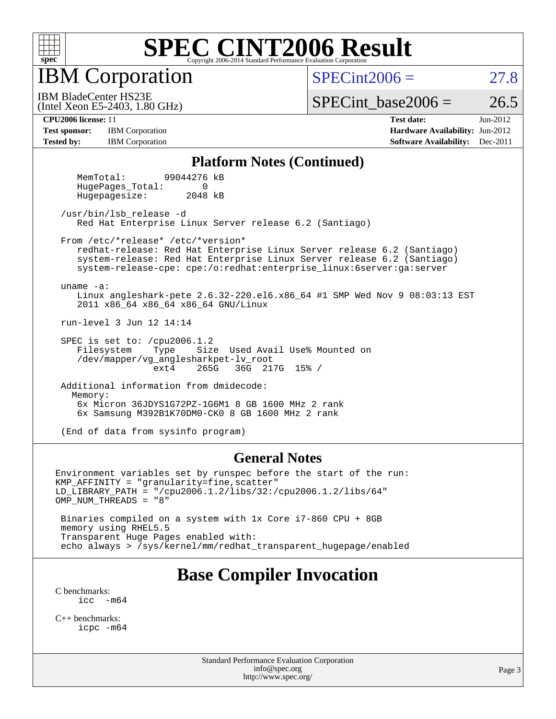

IBM Corporation

 $SPECint2006 = 27.8$  $SPECint2006 = 27.8$ 

(Intel Xeon E5-2403, 1.80 GHz) IBM BladeCenter HS23E

SPECint base2006 =  $26.5$ 

**[Test sponsor:](http://www.spec.org/auto/cpu2006/Docs/result-fields.html#Testsponsor)** IBM Corporation **IBM** Corporation **[Hardware Availability:](http://www.spec.org/auto/cpu2006/Docs/result-fields.html#HardwareAvailability)** Jun-2012 **[Tested by:](http://www.spec.org/auto/cpu2006/Docs/result-fields.html#Testedby)** IBM Corporation **IBM** Corporation **[Software Availability:](http://www.spec.org/auto/cpu2006/Docs/result-fields.html#SoftwareAvailability)** Dec-2011

**[CPU2006 license:](http://www.spec.org/auto/cpu2006/Docs/result-fields.html#CPU2006license)** 11 **[Test date:](http://www.spec.org/auto/cpu2006/Docs/result-fields.html#Testdate)** Jun-2012

#### **[Platform Notes \(Continued\)](http://www.spec.org/auto/cpu2006/Docs/result-fields.html#PlatformNotes)**

 MemTotal: 99044276 kB HugePages Total: 0 Hugepagesize: 2048 kB

 /usr/bin/lsb\_release -d Red Hat Enterprise Linux Server release 6.2 (Santiago)

From /etc/\*release\* /etc/\*version\*

 redhat-release: Red Hat Enterprise Linux Server release 6.2 (Santiago) system-release: Red Hat Enterprise Linux Server release 6.2 (Santiago) system-release-cpe: cpe:/o:redhat:enterprise\_linux:6server:ga:server

uname -a:

 Linux angleshark-pete 2.6.32-220.el6.x86\_64 #1 SMP Wed Nov 9 08:03:13 EST 2011 x86\_64 x86\_64 x86\_64 GNU/Linux

run-level 3 Jun 12 14:14

SPEC is set to: /cpu2006.1.2<br>Filesystem Type Size Size Used Avail Use% Mounted on /dev/mapper/vg\_anglesharkpet-lv\_root ext4 265G 36G 217G 15% /

 Additional information from dmidecode: Memory: 6x Micron 36JDYS1G72PZ-1G6M1 8 GB 1600 MHz 2 rank 6x Samsung M392B1K70DM0-CK0 8 GB 1600 MHz 2 rank

(End of data from sysinfo program)

#### **[General Notes](http://www.spec.org/auto/cpu2006/Docs/result-fields.html#GeneralNotes)**

Environment variables set by runspec before the start of the run: KMP\_AFFINITY = "granularity=fine,scatter" LD\_LIBRARY\_PATH = "/cpu2006.1.2/libs/32:/cpu2006.1.2/libs/64" OMP NUM THREADS = "8"

 Binaries compiled on a system with 1x Core i7-860 CPU + 8GB memory using RHEL5.5 Transparent Huge Pages enabled with: echo always > /sys/kernel/mm/redhat\_transparent\_hugepage/enabled

### **[Base Compiler Invocation](http://www.spec.org/auto/cpu2006/Docs/result-fields.html#BaseCompilerInvocation)**

[C benchmarks](http://www.spec.org/auto/cpu2006/Docs/result-fields.html#Cbenchmarks): [icc -m64](http://www.spec.org/cpu2006/results/res2012q3/cpu2006-20120618-22996.flags.html#user_CCbase_intel_icc_64bit_f346026e86af2a669e726fe758c88044)

[C++ benchmarks:](http://www.spec.org/auto/cpu2006/Docs/result-fields.html#CXXbenchmarks) [icpc -m64](http://www.spec.org/cpu2006/results/res2012q3/cpu2006-20120618-22996.flags.html#user_CXXbase_intel_icpc_64bit_fc66a5337ce925472a5c54ad6a0de310)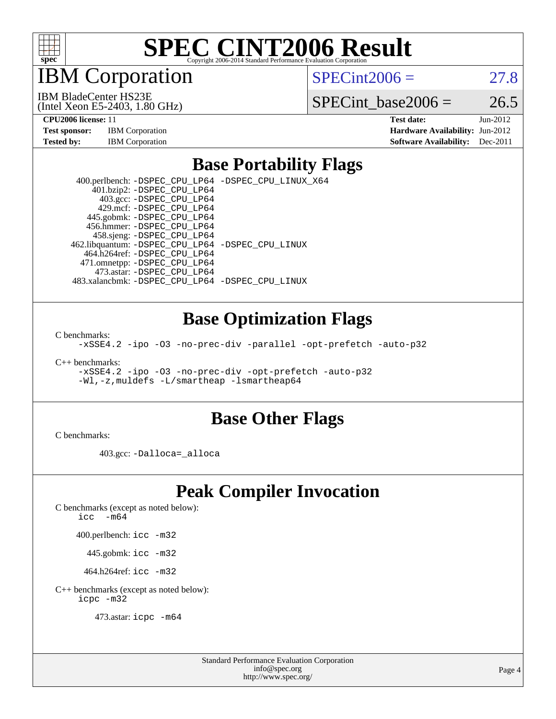

IBM Corporation

 $SPECint2006 = 27.8$  $SPECint2006 = 27.8$ 

IBM BladeCenter HS23E

(Intel Xeon E5-2403, 1.80 GHz)

SPECint base2006 =  $26.5$ 

**[CPU2006 license:](http://www.spec.org/auto/cpu2006/Docs/result-fields.html#CPU2006license)** 11 **[Test date:](http://www.spec.org/auto/cpu2006/Docs/result-fields.html#Testdate)** Jun-2012

# **[Tested by:](http://www.spec.org/auto/cpu2006/Docs/result-fields.html#Testedby)** IBM Corporation **[Software Availability:](http://www.spec.org/auto/cpu2006/Docs/result-fields.html#SoftwareAvailability)** Dec-2011

**[Test sponsor:](http://www.spec.org/auto/cpu2006/Docs/result-fields.html#Testsponsor)** IBM Corporation **[Hardware Availability:](http://www.spec.org/auto/cpu2006/Docs/result-fields.html#HardwareAvailability)** Jun-2012

### **[Base Portability Flags](http://www.spec.org/auto/cpu2006/Docs/result-fields.html#BasePortabilityFlags)**

 400.perlbench: [-DSPEC\\_CPU\\_LP64](http://www.spec.org/cpu2006/results/res2012q3/cpu2006-20120618-22996.flags.html#b400.perlbench_basePORTABILITY_DSPEC_CPU_LP64) [-DSPEC\\_CPU\\_LINUX\\_X64](http://www.spec.org/cpu2006/results/res2012q3/cpu2006-20120618-22996.flags.html#b400.perlbench_baseCPORTABILITY_DSPEC_CPU_LINUX_X64) 401.bzip2: [-DSPEC\\_CPU\\_LP64](http://www.spec.org/cpu2006/results/res2012q3/cpu2006-20120618-22996.flags.html#suite_basePORTABILITY401_bzip2_DSPEC_CPU_LP64) 403.gcc: [-DSPEC\\_CPU\\_LP64](http://www.spec.org/cpu2006/results/res2012q3/cpu2006-20120618-22996.flags.html#suite_basePORTABILITY403_gcc_DSPEC_CPU_LP64) 429.mcf: [-DSPEC\\_CPU\\_LP64](http://www.spec.org/cpu2006/results/res2012q3/cpu2006-20120618-22996.flags.html#suite_basePORTABILITY429_mcf_DSPEC_CPU_LP64) 445.gobmk: [-DSPEC\\_CPU\\_LP64](http://www.spec.org/cpu2006/results/res2012q3/cpu2006-20120618-22996.flags.html#suite_basePORTABILITY445_gobmk_DSPEC_CPU_LP64) 456.hmmer: [-DSPEC\\_CPU\\_LP64](http://www.spec.org/cpu2006/results/res2012q3/cpu2006-20120618-22996.flags.html#suite_basePORTABILITY456_hmmer_DSPEC_CPU_LP64) 458.sjeng: [-DSPEC\\_CPU\\_LP64](http://www.spec.org/cpu2006/results/res2012q3/cpu2006-20120618-22996.flags.html#suite_basePORTABILITY458_sjeng_DSPEC_CPU_LP64) 462.libquantum: [-DSPEC\\_CPU\\_LP64](http://www.spec.org/cpu2006/results/res2012q3/cpu2006-20120618-22996.flags.html#suite_basePORTABILITY462_libquantum_DSPEC_CPU_LP64) [-DSPEC\\_CPU\\_LINUX](http://www.spec.org/cpu2006/results/res2012q3/cpu2006-20120618-22996.flags.html#b462.libquantum_baseCPORTABILITY_DSPEC_CPU_LINUX) 464.h264ref: [-DSPEC\\_CPU\\_LP64](http://www.spec.org/cpu2006/results/res2012q3/cpu2006-20120618-22996.flags.html#suite_basePORTABILITY464_h264ref_DSPEC_CPU_LP64) 471.omnetpp: [-DSPEC\\_CPU\\_LP64](http://www.spec.org/cpu2006/results/res2012q3/cpu2006-20120618-22996.flags.html#suite_basePORTABILITY471_omnetpp_DSPEC_CPU_LP64) 473.astar: [-DSPEC\\_CPU\\_LP64](http://www.spec.org/cpu2006/results/res2012q3/cpu2006-20120618-22996.flags.html#suite_basePORTABILITY473_astar_DSPEC_CPU_LP64) 483.xalancbmk: [-DSPEC\\_CPU\\_LP64](http://www.spec.org/cpu2006/results/res2012q3/cpu2006-20120618-22996.flags.html#suite_basePORTABILITY483_xalancbmk_DSPEC_CPU_LP64) [-DSPEC\\_CPU\\_LINUX](http://www.spec.org/cpu2006/results/res2012q3/cpu2006-20120618-22996.flags.html#b483.xalancbmk_baseCXXPORTABILITY_DSPEC_CPU_LINUX)

#### **[Base Optimization Flags](http://www.spec.org/auto/cpu2006/Docs/result-fields.html#BaseOptimizationFlags)**

[C benchmarks](http://www.spec.org/auto/cpu2006/Docs/result-fields.html#Cbenchmarks):

[-xSSE4.2](http://www.spec.org/cpu2006/results/res2012q3/cpu2006-20120618-22996.flags.html#user_CCbase_f-xSSE42_f91528193cf0b216347adb8b939d4107) [-ipo](http://www.spec.org/cpu2006/results/res2012q3/cpu2006-20120618-22996.flags.html#user_CCbase_f-ipo) [-O3](http://www.spec.org/cpu2006/results/res2012q3/cpu2006-20120618-22996.flags.html#user_CCbase_f-O3) [-no-prec-div](http://www.spec.org/cpu2006/results/res2012q3/cpu2006-20120618-22996.flags.html#user_CCbase_f-no-prec-div) [-parallel](http://www.spec.org/cpu2006/results/res2012q3/cpu2006-20120618-22996.flags.html#user_CCbase_f-parallel) [-opt-prefetch](http://www.spec.org/cpu2006/results/res2012q3/cpu2006-20120618-22996.flags.html#user_CCbase_f-opt-prefetch) [-auto-p32](http://www.spec.org/cpu2006/results/res2012q3/cpu2006-20120618-22996.flags.html#user_CCbase_f-auto-p32)

[C++ benchmarks:](http://www.spec.org/auto/cpu2006/Docs/result-fields.html#CXXbenchmarks)

[-xSSE4.2](http://www.spec.org/cpu2006/results/res2012q3/cpu2006-20120618-22996.flags.html#user_CXXbase_f-xSSE42_f91528193cf0b216347adb8b939d4107) [-ipo](http://www.spec.org/cpu2006/results/res2012q3/cpu2006-20120618-22996.flags.html#user_CXXbase_f-ipo) [-O3](http://www.spec.org/cpu2006/results/res2012q3/cpu2006-20120618-22996.flags.html#user_CXXbase_f-O3) [-no-prec-div](http://www.spec.org/cpu2006/results/res2012q3/cpu2006-20120618-22996.flags.html#user_CXXbase_f-no-prec-div) [-opt-prefetch](http://www.spec.org/cpu2006/results/res2012q3/cpu2006-20120618-22996.flags.html#user_CXXbase_f-opt-prefetch) [-auto-p32](http://www.spec.org/cpu2006/results/res2012q3/cpu2006-20120618-22996.flags.html#user_CXXbase_f-auto-p32) [-Wl,-z,muldefs](http://www.spec.org/cpu2006/results/res2012q3/cpu2006-20120618-22996.flags.html#user_CXXbase_link_force_multiple1_74079c344b956b9658436fd1b6dd3a8a) [-L/smartheap -lsmartheap64](http://www.spec.org/cpu2006/results/res2012q3/cpu2006-20120618-22996.flags.html#user_CXXbase_SmartHeap64_5e654037dadeae1fe403ab4b4466e60b)

#### **[Base Other Flags](http://www.spec.org/auto/cpu2006/Docs/result-fields.html#BaseOtherFlags)**

[C benchmarks](http://www.spec.org/auto/cpu2006/Docs/result-fields.html#Cbenchmarks):

403.gcc: [-Dalloca=\\_alloca](http://www.spec.org/cpu2006/results/res2012q3/cpu2006-20120618-22996.flags.html#b403.gcc_baseEXTRA_CFLAGS_Dalloca_be3056838c12de2578596ca5467af7f3)

## **[Peak Compiler Invocation](http://www.spec.org/auto/cpu2006/Docs/result-fields.html#PeakCompilerInvocation)**

[C benchmarks \(except as noted below\)](http://www.spec.org/auto/cpu2006/Docs/result-fields.html#Cbenchmarksexceptasnotedbelow):

[icc -m64](http://www.spec.org/cpu2006/results/res2012q3/cpu2006-20120618-22996.flags.html#user_CCpeak_intel_icc_64bit_f346026e86af2a669e726fe758c88044)

400.perlbench: [icc -m32](http://www.spec.org/cpu2006/results/res2012q3/cpu2006-20120618-22996.flags.html#user_peakCCLD400_perlbench_intel_icc_a6a621f8d50482236b970c6ac5f55f93)

445.gobmk: [icc -m32](http://www.spec.org/cpu2006/results/res2012q3/cpu2006-20120618-22996.flags.html#user_peakCCLD445_gobmk_intel_icc_a6a621f8d50482236b970c6ac5f55f93)

464.h264ref: [icc -m32](http://www.spec.org/cpu2006/results/res2012q3/cpu2006-20120618-22996.flags.html#user_peakCCLD464_h264ref_intel_icc_a6a621f8d50482236b970c6ac5f55f93)

[C++ benchmarks \(except as noted below\):](http://www.spec.org/auto/cpu2006/Docs/result-fields.html#CXXbenchmarksexceptasnotedbelow) [icpc -m32](http://www.spec.org/cpu2006/results/res2012q3/cpu2006-20120618-22996.flags.html#user_CXXpeak_intel_icpc_4e5a5ef1a53fd332b3c49e69c3330699)

473.astar: [icpc -m64](http://www.spec.org/cpu2006/results/res2012q3/cpu2006-20120618-22996.flags.html#user_peakCXXLD473_astar_intel_icpc_64bit_fc66a5337ce925472a5c54ad6a0de310)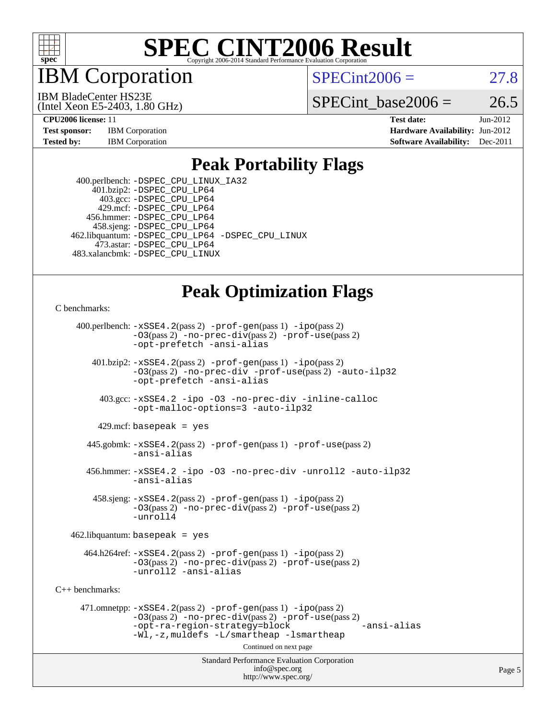

IBM Corporation

 $SPECint2006 = 27.8$  $SPECint2006 = 27.8$ 

IBM BladeCenter HS23E

(Intel Xeon E5-2403, 1.80 GHz)

SPECint base2006 =  $26.5$ 

**[CPU2006 license:](http://www.spec.org/auto/cpu2006/Docs/result-fields.html#CPU2006license)** 11 **[Test date:](http://www.spec.org/auto/cpu2006/Docs/result-fields.html#Testdate)** Jun-2012 **[Test sponsor:](http://www.spec.org/auto/cpu2006/Docs/result-fields.html#Testsponsor)** IBM Corporation **[Hardware Availability:](http://www.spec.org/auto/cpu2006/Docs/result-fields.html#HardwareAvailability)** Jun-2012 **[Tested by:](http://www.spec.org/auto/cpu2006/Docs/result-fields.html#Testedby)** IBM Corporation **[Software Availability:](http://www.spec.org/auto/cpu2006/Docs/result-fields.html#SoftwareAvailability)** Dec-2011

#### **[Peak Portability Flags](http://www.spec.org/auto/cpu2006/Docs/result-fields.html#PeakPortabilityFlags)**

 400.perlbench: [-DSPEC\\_CPU\\_LINUX\\_IA32](http://www.spec.org/cpu2006/results/res2012q3/cpu2006-20120618-22996.flags.html#b400.perlbench_peakCPORTABILITY_DSPEC_CPU_LINUX_IA32) 401.bzip2: [-DSPEC\\_CPU\\_LP64](http://www.spec.org/cpu2006/results/res2012q3/cpu2006-20120618-22996.flags.html#suite_peakPORTABILITY401_bzip2_DSPEC_CPU_LP64) 403.gcc: [-DSPEC\\_CPU\\_LP64](http://www.spec.org/cpu2006/results/res2012q3/cpu2006-20120618-22996.flags.html#suite_peakPORTABILITY403_gcc_DSPEC_CPU_LP64) 429.mcf: [-DSPEC\\_CPU\\_LP64](http://www.spec.org/cpu2006/results/res2012q3/cpu2006-20120618-22996.flags.html#suite_peakPORTABILITY429_mcf_DSPEC_CPU_LP64) 456.hmmer: [-DSPEC\\_CPU\\_LP64](http://www.spec.org/cpu2006/results/res2012q3/cpu2006-20120618-22996.flags.html#suite_peakPORTABILITY456_hmmer_DSPEC_CPU_LP64) 458.sjeng: [-DSPEC\\_CPU\\_LP64](http://www.spec.org/cpu2006/results/res2012q3/cpu2006-20120618-22996.flags.html#suite_peakPORTABILITY458_sjeng_DSPEC_CPU_LP64) 462.libquantum: [-DSPEC\\_CPU\\_LP64](http://www.spec.org/cpu2006/results/res2012q3/cpu2006-20120618-22996.flags.html#suite_peakPORTABILITY462_libquantum_DSPEC_CPU_LP64) [-DSPEC\\_CPU\\_LINUX](http://www.spec.org/cpu2006/results/res2012q3/cpu2006-20120618-22996.flags.html#b462.libquantum_peakCPORTABILITY_DSPEC_CPU_LINUX) 473.astar: [-DSPEC\\_CPU\\_LP64](http://www.spec.org/cpu2006/results/res2012q3/cpu2006-20120618-22996.flags.html#suite_peakPORTABILITY473_astar_DSPEC_CPU_LP64) 483.xalancbmk: [-DSPEC\\_CPU\\_LINUX](http://www.spec.org/cpu2006/results/res2012q3/cpu2006-20120618-22996.flags.html#b483.xalancbmk_peakCXXPORTABILITY_DSPEC_CPU_LINUX)

## **[Peak Optimization Flags](http://www.spec.org/auto/cpu2006/Docs/result-fields.html#PeakOptimizationFlags)**

[C benchmarks](http://www.spec.org/auto/cpu2006/Docs/result-fields.html#Cbenchmarks):

 400.perlbench: [-xSSE4.2](http://www.spec.org/cpu2006/results/res2012q3/cpu2006-20120618-22996.flags.html#user_peakPASS2_CFLAGSPASS2_LDCFLAGS400_perlbench_f-xSSE42_f91528193cf0b216347adb8b939d4107)(pass 2) [-prof-gen](http://www.spec.org/cpu2006/results/res2012q3/cpu2006-20120618-22996.flags.html#user_peakPASS1_CFLAGSPASS1_LDCFLAGS400_perlbench_prof_gen_e43856698f6ca7b7e442dfd80e94a8fc)(pass 1) [-ipo](http://www.spec.org/cpu2006/results/res2012q3/cpu2006-20120618-22996.flags.html#user_peakPASS2_CFLAGSPASS2_LDCFLAGS400_perlbench_f-ipo)(pass 2) [-O3](http://www.spec.org/cpu2006/results/res2012q3/cpu2006-20120618-22996.flags.html#user_peakPASS2_CFLAGSPASS2_LDCFLAGS400_perlbench_f-O3)(pass 2) [-no-prec-div](http://www.spec.org/cpu2006/results/res2012q3/cpu2006-20120618-22996.flags.html#user_peakPASS2_CFLAGSPASS2_LDCFLAGS400_perlbench_f-no-prec-div)(pass 2) [-prof-use](http://www.spec.org/cpu2006/results/res2012q3/cpu2006-20120618-22996.flags.html#user_peakPASS2_CFLAGSPASS2_LDCFLAGS400_perlbench_prof_use_bccf7792157ff70d64e32fe3e1250b55)(pass 2) [-opt-prefetch](http://www.spec.org/cpu2006/results/res2012q3/cpu2006-20120618-22996.flags.html#user_peakCOPTIMIZE400_perlbench_f-opt-prefetch) [-ansi-alias](http://www.spec.org/cpu2006/results/res2012q3/cpu2006-20120618-22996.flags.html#user_peakCOPTIMIZE400_perlbench_f-ansi-alias) 401.bzip2: [-xSSE4.2](http://www.spec.org/cpu2006/results/res2012q3/cpu2006-20120618-22996.flags.html#user_peakPASS2_CFLAGSPASS2_LDCFLAGS401_bzip2_f-xSSE42_f91528193cf0b216347adb8b939d4107)(pass 2) [-prof-gen](http://www.spec.org/cpu2006/results/res2012q3/cpu2006-20120618-22996.flags.html#user_peakPASS1_CFLAGSPASS1_LDCFLAGS401_bzip2_prof_gen_e43856698f6ca7b7e442dfd80e94a8fc)(pass 1) [-ipo](http://www.spec.org/cpu2006/results/res2012q3/cpu2006-20120618-22996.flags.html#user_peakPASS2_CFLAGSPASS2_LDCFLAGS401_bzip2_f-ipo)(pass 2) [-O3](http://www.spec.org/cpu2006/results/res2012q3/cpu2006-20120618-22996.flags.html#user_peakPASS2_CFLAGSPASS2_LDCFLAGS401_bzip2_f-O3)(pass 2) [-no-prec-div](http://www.spec.org/cpu2006/results/res2012q3/cpu2006-20120618-22996.flags.html#user_peakCOPTIMIZEPASS2_CFLAGSPASS2_LDCFLAGS401_bzip2_f-no-prec-div) [-prof-use](http://www.spec.org/cpu2006/results/res2012q3/cpu2006-20120618-22996.flags.html#user_peakPASS2_CFLAGSPASS2_LDCFLAGS401_bzip2_prof_use_bccf7792157ff70d64e32fe3e1250b55)(pass 2) [-auto-ilp32](http://www.spec.org/cpu2006/results/res2012q3/cpu2006-20120618-22996.flags.html#user_peakCOPTIMIZE401_bzip2_f-auto-ilp32) [-opt-prefetch](http://www.spec.org/cpu2006/results/res2012q3/cpu2006-20120618-22996.flags.html#user_peakCOPTIMIZE401_bzip2_f-opt-prefetch) [-ansi-alias](http://www.spec.org/cpu2006/results/res2012q3/cpu2006-20120618-22996.flags.html#user_peakCOPTIMIZE401_bzip2_f-ansi-alias) 403.gcc: [-xSSE4.2](http://www.spec.org/cpu2006/results/res2012q3/cpu2006-20120618-22996.flags.html#user_peakCOPTIMIZE403_gcc_f-xSSE42_f91528193cf0b216347adb8b939d4107) [-ipo](http://www.spec.org/cpu2006/results/res2012q3/cpu2006-20120618-22996.flags.html#user_peakCOPTIMIZE403_gcc_f-ipo) [-O3](http://www.spec.org/cpu2006/results/res2012q3/cpu2006-20120618-22996.flags.html#user_peakCOPTIMIZE403_gcc_f-O3) [-no-prec-div](http://www.spec.org/cpu2006/results/res2012q3/cpu2006-20120618-22996.flags.html#user_peakCOPTIMIZE403_gcc_f-no-prec-div) [-inline-calloc](http://www.spec.org/cpu2006/results/res2012q3/cpu2006-20120618-22996.flags.html#user_peakCOPTIMIZE403_gcc_f-inline-calloc) [-opt-malloc-options=3](http://www.spec.org/cpu2006/results/res2012q3/cpu2006-20120618-22996.flags.html#user_peakCOPTIMIZE403_gcc_f-opt-malloc-options_13ab9b803cf986b4ee62f0a5998c2238) [-auto-ilp32](http://www.spec.org/cpu2006/results/res2012q3/cpu2006-20120618-22996.flags.html#user_peakCOPTIMIZE403_gcc_f-auto-ilp32)  $429$ .mcf: basepeak = yes 445.gobmk: [-xSSE4.2](http://www.spec.org/cpu2006/results/res2012q3/cpu2006-20120618-22996.flags.html#user_peakPASS2_CFLAGSPASS2_LDCFLAGS445_gobmk_f-xSSE42_f91528193cf0b216347adb8b939d4107)(pass 2) [-prof-gen](http://www.spec.org/cpu2006/results/res2012q3/cpu2006-20120618-22996.flags.html#user_peakPASS1_CFLAGSPASS1_LDCFLAGS445_gobmk_prof_gen_e43856698f6ca7b7e442dfd80e94a8fc)(pass 1) [-prof-use](http://www.spec.org/cpu2006/results/res2012q3/cpu2006-20120618-22996.flags.html#user_peakPASS2_CFLAGSPASS2_LDCFLAGS445_gobmk_prof_use_bccf7792157ff70d64e32fe3e1250b55)(pass 2) [-ansi-alias](http://www.spec.org/cpu2006/results/res2012q3/cpu2006-20120618-22996.flags.html#user_peakCOPTIMIZE445_gobmk_f-ansi-alias) 456.hmmer: [-xSSE4.2](http://www.spec.org/cpu2006/results/res2012q3/cpu2006-20120618-22996.flags.html#user_peakCOPTIMIZE456_hmmer_f-xSSE42_f91528193cf0b216347adb8b939d4107) [-ipo](http://www.spec.org/cpu2006/results/res2012q3/cpu2006-20120618-22996.flags.html#user_peakCOPTIMIZE456_hmmer_f-ipo) [-O3](http://www.spec.org/cpu2006/results/res2012q3/cpu2006-20120618-22996.flags.html#user_peakCOPTIMIZE456_hmmer_f-O3) [-no-prec-div](http://www.spec.org/cpu2006/results/res2012q3/cpu2006-20120618-22996.flags.html#user_peakCOPTIMIZE456_hmmer_f-no-prec-div) [-unroll2](http://www.spec.org/cpu2006/results/res2012q3/cpu2006-20120618-22996.flags.html#user_peakCOPTIMIZE456_hmmer_f-unroll_784dae83bebfb236979b41d2422d7ec2) [-auto-ilp32](http://www.spec.org/cpu2006/results/res2012q3/cpu2006-20120618-22996.flags.html#user_peakCOPTIMIZE456_hmmer_f-auto-ilp32) [-ansi-alias](http://www.spec.org/cpu2006/results/res2012q3/cpu2006-20120618-22996.flags.html#user_peakCOPTIMIZE456_hmmer_f-ansi-alias) 458.sjeng: [-xSSE4.2](http://www.spec.org/cpu2006/results/res2012q3/cpu2006-20120618-22996.flags.html#user_peakPASS2_CFLAGSPASS2_LDCFLAGS458_sjeng_f-xSSE42_f91528193cf0b216347adb8b939d4107)(pass 2) [-prof-gen](http://www.spec.org/cpu2006/results/res2012q3/cpu2006-20120618-22996.flags.html#user_peakPASS1_CFLAGSPASS1_LDCFLAGS458_sjeng_prof_gen_e43856698f6ca7b7e442dfd80e94a8fc)(pass 1) [-ipo](http://www.spec.org/cpu2006/results/res2012q3/cpu2006-20120618-22996.flags.html#user_peakPASS2_CFLAGSPASS2_LDCFLAGS458_sjeng_f-ipo)(pass 2) [-O3](http://www.spec.org/cpu2006/results/res2012q3/cpu2006-20120618-22996.flags.html#user_peakPASS2_CFLAGSPASS2_LDCFLAGS458_sjeng_f-O3)(pass 2) [-no-prec-div](http://www.spec.org/cpu2006/results/res2012q3/cpu2006-20120618-22996.flags.html#user_peakPASS2_CFLAGSPASS2_LDCFLAGS458_sjeng_f-no-prec-div)(pass 2) [-prof-use](http://www.spec.org/cpu2006/results/res2012q3/cpu2006-20120618-22996.flags.html#user_peakPASS2_CFLAGSPASS2_LDCFLAGS458_sjeng_prof_use_bccf7792157ff70d64e32fe3e1250b55)(pass 2) [-unroll4](http://www.spec.org/cpu2006/results/res2012q3/cpu2006-20120618-22996.flags.html#user_peakCOPTIMIZE458_sjeng_f-unroll_4e5e4ed65b7fd20bdcd365bec371b81f)  $462$ .libquantum: basepeak = yes  $464.h264 \text{ref}: -x \text{SSE4}.2(\text{pass 2}) - \text{prof-qen}(\text{pass 1}) - \text{ipo}(\text{pass 2})$ [-O3](http://www.spec.org/cpu2006/results/res2012q3/cpu2006-20120618-22996.flags.html#user_peakPASS2_CFLAGSPASS2_LDCFLAGS464_h264ref_f-O3)(pass 2) [-no-prec-div](http://www.spec.org/cpu2006/results/res2012q3/cpu2006-20120618-22996.flags.html#user_peakPASS2_CFLAGSPASS2_LDCFLAGS464_h264ref_f-no-prec-div)(pass 2) [-prof-use](http://www.spec.org/cpu2006/results/res2012q3/cpu2006-20120618-22996.flags.html#user_peakPASS2_CFLAGSPASS2_LDCFLAGS464_h264ref_prof_use_bccf7792157ff70d64e32fe3e1250b55)(pass 2) [-unroll2](http://www.spec.org/cpu2006/results/res2012q3/cpu2006-20120618-22996.flags.html#user_peakCOPTIMIZE464_h264ref_f-unroll_784dae83bebfb236979b41d2422d7ec2) [-ansi-alias](http://www.spec.org/cpu2006/results/res2012q3/cpu2006-20120618-22996.flags.html#user_peakCOPTIMIZE464_h264ref_f-ansi-alias) [C++ benchmarks:](http://www.spec.org/auto/cpu2006/Docs/result-fields.html#CXXbenchmarks) 471.omnetpp: [-xSSE4.2](http://www.spec.org/cpu2006/results/res2012q3/cpu2006-20120618-22996.flags.html#user_peakPASS2_CXXFLAGSPASS2_LDCXXFLAGS471_omnetpp_f-xSSE42_f91528193cf0b216347adb8b939d4107)(pass 2) [-prof-gen](http://www.spec.org/cpu2006/results/res2012q3/cpu2006-20120618-22996.flags.html#user_peakPASS1_CXXFLAGSPASS1_LDCXXFLAGS471_omnetpp_prof_gen_e43856698f6ca7b7e442dfd80e94a8fc)(pass 1) [-ipo](http://www.spec.org/cpu2006/results/res2012q3/cpu2006-20120618-22996.flags.html#user_peakPASS2_CXXFLAGSPASS2_LDCXXFLAGS471_omnetpp_f-ipo)(pass 2) [-O3](http://www.spec.org/cpu2006/results/res2012q3/cpu2006-20120618-22996.flags.html#user_peakPASS2_CXXFLAGSPASS2_LDCXXFLAGS471_omnetpp_f-O3)(pass 2) [-no-prec-div](http://www.spec.org/cpu2006/results/res2012q3/cpu2006-20120618-22996.flags.html#user_peakPASS2_CXXFLAGSPASS2_LDCXXFLAGS471_omnetpp_f-no-prec-div)(pass 2) [-prof-use](http://www.spec.org/cpu2006/results/res2012q3/cpu2006-20120618-22996.flags.html#user_peakPASS2_CXXFLAGSPASS2_LDCXXFLAGS471_omnetpp_prof_use_bccf7792157ff70d64e32fe3e1250b55)(pass 2) [-opt-ra-region-strategy=block](http://www.spec.org/cpu2006/results/res2012q3/cpu2006-20120618-22996.flags.html#user_peakCXXOPTIMIZE471_omnetpp_f-opt-ra-region-strategy_5382940c29ea30302d682fc74bfe0147) [-ansi-alias](http://www.spec.org/cpu2006/results/res2012q3/cpu2006-20120618-22996.flags.html#user_peakCXXOPTIMIZE471_omnetpp_f-ansi-alias) [-Wl,-z,muldefs](http://www.spec.org/cpu2006/results/res2012q3/cpu2006-20120618-22996.flags.html#user_peakEXTRA_LDFLAGS471_omnetpp_link_force_multiple1_74079c344b956b9658436fd1b6dd3a8a) [-L/smartheap -lsmartheap](http://www.spec.org/cpu2006/results/res2012q3/cpu2006-20120618-22996.flags.html#user_peakEXTRA_LIBS471_omnetpp_SmartHeap_7c9e394a5779e1a7fec7c221e123830c) Continued on next page